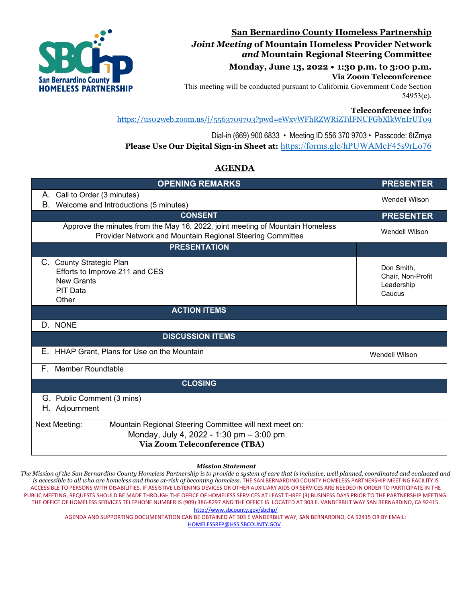

## **San Bernardino County Homeless Partnership** *Joint Meeting* **of Mountain Homeless Provider Network** *and* **Mountain Regional Steering Committee**

**Monday, June 13, 2022 • 1:30 p.m. to 3:00 p.m. Via Zoom Teleconference**

This meeting will be conducted pursuant to California Government Code Section 54953(e).

### **Teleconference info:**

<https://us02web.zoom.us/j/5563709703?pwd=eWxvWFhRZWRiZTdFNUFGbXlkWnIrUT09>

Dial-in (669) 900 6833 • Meeting ID 556 370 9703 • Passcode: 6tZmya **Please Use Our Digital Sign-in Sheet at:** <https://forms.gle/hPUWAMcF45s9rLo76>

## **AGENDA**

| <b>OPENING REMARKS</b>                                                                                                                                       | <b>PRESENTER</b>                                        |
|--------------------------------------------------------------------------------------------------------------------------------------------------------------|---------------------------------------------------------|
| A. Call to Order (3 minutes)                                                                                                                                 | <b>Wendell Wilson</b>                                   |
| Welcome and Introductions (5 minutes)<br>В.                                                                                                                  |                                                         |
| <b>CONSENT</b>                                                                                                                                               | <b>PRESENTER</b>                                        |
| Approve the minutes from the May 16, 2022, joint meeting of Mountain Homeless<br>Provider Network and Mountain Regional Steering Committee                   | <b>Wendell Wilson</b>                                   |
| <b>PRESENTATION</b>                                                                                                                                          |                                                         |
| C. County Strategic Plan<br>Efforts to Improve 211 and CES<br><b>New Grants</b><br>PIT Data<br>Other                                                         | Don Smith,<br>Chair, Non-Profit<br>Leadership<br>Caucus |
| <b>ACTION ITEMS</b>                                                                                                                                          |                                                         |
| D. NONE                                                                                                                                                      |                                                         |
| <b>DISCUSSION ITEMS</b>                                                                                                                                      |                                                         |
| Е.<br>HHAP Grant, Plans for Use on the Mountain                                                                                                              | <b>Wendell Wilson</b>                                   |
| <b>Member Roundtable</b><br>F. .                                                                                                                             |                                                         |
| <b>CLOSING</b>                                                                                                                                               |                                                         |
| G. Public Comment (3 mins)<br>H. Adjournment                                                                                                                 |                                                         |
| Mountain Regional Steering Committee will next meet on:<br><b>Next Meeting:</b><br>Monday, July 4, 2022 - 1:30 pm - 3:00 pm<br>Via Zoom Teleconference (TBA) |                                                         |

#### *Mission Statement*

*The Mission of the San Bernardino County Homeless Partnership is to provide a system of care that is inclusive, well planned, coordinated and evaluated and*  is accessible to all who are homeless and those at-risk of becoming homeless. THE SAN BERNARDINO COUNTY HOMELESS PARTNERSHIP MEETING FACILITY IS ACCESSIBLE TO PERSONS WITH DISABILITIES. IF ASSISTIVE LISTENING DEVICES OR OTHER AUXILIARY AIDS OR SERVICES ARE NEEDED IN ORDER TO PARTICIPATE IN THE PUBLIC MEETING, REQUESTS SHOULD BE MADE THROUGH THE OFFICE OF HOMELESS SERVICES AT LEAST THREE (3) BUSINESS DAYS PRIOR TO THE PARTNERSHIP MEETING. THE OFFICE OF HOMELESS SERVICES TELEPHONE NUMBER IS (909) 386-8297 AND THE OFFICE IS LOCATED AT 303 E. VANDERBILT WAY SAN BERNARDINO, CA 9241[5.](http://www.sbcounty.gov/sbchp/)  <http://www.sbcounty.gov/sbchp/>

AGENDA AND SUPPORTING DOCUMENTATION CAN BE OBTAINED AT 303 E VANDERBILT WAY, SAN BERNARDINO, CA 92415 OR BY EMAIL: HOMELESSRFP@HSS.SBCOUNTY.GOV .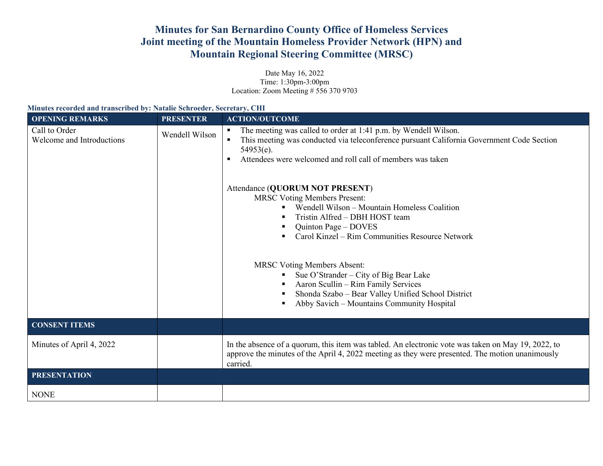# **Minutes for San Bernardino County Office of Homeless Services Joint meeting of the Mountain Homeless Provider Network (HPN) and Mountain Regional Steering Committee (MRSC)**

Date May 16, 2022 Time: 1:30pm-3:00pm Location: Zoom Meeting # 556 370 9703

| Minutes recorded and transcribed by: Natalie Schroeder, Secretary, CHI |                  |                                                                                                                                                                                                                                                                                                                                                                                                                                                                                                                       |  |  |  |  |
|------------------------------------------------------------------------|------------------|-----------------------------------------------------------------------------------------------------------------------------------------------------------------------------------------------------------------------------------------------------------------------------------------------------------------------------------------------------------------------------------------------------------------------------------------------------------------------------------------------------------------------|--|--|--|--|
| <b>OPENING REMARKS</b>                                                 | <b>PRESENTER</b> | <b>ACTION/OUTCOME</b>                                                                                                                                                                                                                                                                                                                                                                                                                                                                                                 |  |  |  |  |
| Call to Order<br>Welcome and Introductions                             | Wendell Wilson   | The meeting was called to order at 1:41 p.m. by Wendell Wilson.<br>This meeting was conducted via teleconference pursuant California Government Code Section<br>$\blacksquare$<br>$54953(e)$ .<br>Attendees were welcomed and roll call of members was taken<br>$\blacksquare$<br>Attendance (QUORUM NOT PRESENT)<br><b>MRSC Voting Members Present:</b><br>Wendell Wilson – Mountain Homeless Coalition<br>Tristin Alfred - DBH HOST team<br>Quinton Page – DOVES<br>Carol Kinzel – Rim Communities Resource Network |  |  |  |  |
|                                                                        |                  | <b>MRSC Voting Members Absent:</b><br>Sue O'Strander – City of Big Bear Lake<br>Aaron Scullin - Rim Family Services<br>Shonda Szabo - Bear Valley Unified School District<br>Abby Savich – Mountains Community Hospital                                                                                                                                                                                                                                                                                               |  |  |  |  |
| <b>CONSENT ITEMS</b>                                                   |                  |                                                                                                                                                                                                                                                                                                                                                                                                                                                                                                                       |  |  |  |  |
| Minutes of April 4, 2022                                               |                  | In the absence of a quorum, this item was tabled. An electronic vote was taken on May 19, 2022, to<br>approve the minutes of the April 4, 2022 meeting as they were presented. The motion unanimously<br>carried.                                                                                                                                                                                                                                                                                                     |  |  |  |  |
| <b>PRESENTATION</b>                                                    |                  |                                                                                                                                                                                                                                                                                                                                                                                                                                                                                                                       |  |  |  |  |
| <b>NONE</b>                                                            |                  |                                                                                                                                                                                                                                                                                                                                                                                                                                                                                                                       |  |  |  |  |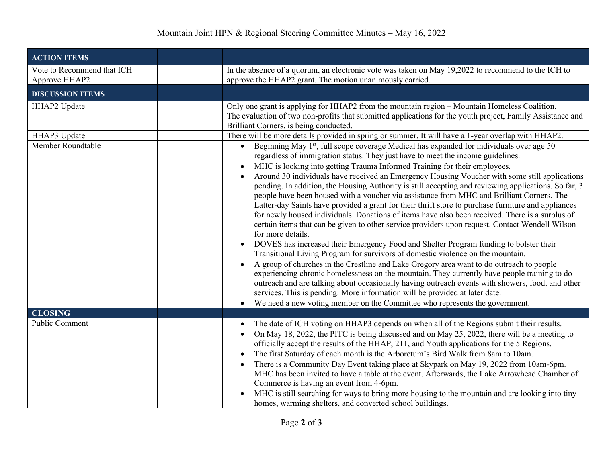| <b>ACTION ITEMS</b>                         |                                                                                                                                                                                                                                                                                                                                                                                                                                                                                                                                                                                                                                                                                                                                                                                                                                                                                                                                                                                                                                                                                                                                                                                                                                                                                                                                                                                                                                                                                                                                                                                                            |
|---------------------------------------------|------------------------------------------------------------------------------------------------------------------------------------------------------------------------------------------------------------------------------------------------------------------------------------------------------------------------------------------------------------------------------------------------------------------------------------------------------------------------------------------------------------------------------------------------------------------------------------------------------------------------------------------------------------------------------------------------------------------------------------------------------------------------------------------------------------------------------------------------------------------------------------------------------------------------------------------------------------------------------------------------------------------------------------------------------------------------------------------------------------------------------------------------------------------------------------------------------------------------------------------------------------------------------------------------------------------------------------------------------------------------------------------------------------------------------------------------------------------------------------------------------------------------------------------------------------------------------------------------------------|
| Vote to Recommend that ICH<br>Approve HHAP2 | In the absence of a quorum, an electronic vote was taken on May 19,2022 to recommend to the ICH to<br>approve the HHAP2 grant. The motion unanimously carried.                                                                                                                                                                                                                                                                                                                                                                                                                                                                                                                                                                                                                                                                                                                                                                                                                                                                                                                                                                                                                                                                                                                                                                                                                                                                                                                                                                                                                                             |
| <b>DISCUSSION ITEMS</b>                     |                                                                                                                                                                                                                                                                                                                                                                                                                                                                                                                                                                                                                                                                                                                                                                                                                                                                                                                                                                                                                                                                                                                                                                                                                                                                                                                                                                                                                                                                                                                                                                                                            |
| HHAP2 Update                                | Only one grant is applying for HHAP2 from the mountain region – Mountain Homeless Coalition.<br>The evaluation of two non-profits that submitted applications for the youth project, Family Assistance and<br>Brilliant Corners, is being conducted.                                                                                                                                                                                                                                                                                                                                                                                                                                                                                                                                                                                                                                                                                                                                                                                                                                                                                                                                                                                                                                                                                                                                                                                                                                                                                                                                                       |
| HHAP3 Update                                | There will be more details provided in spring or summer. It will have a 1-year overlap with HHAP2.                                                                                                                                                                                                                                                                                                                                                                                                                                                                                                                                                                                                                                                                                                                                                                                                                                                                                                                                                                                                                                                                                                                                                                                                                                                                                                                                                                                                                                                                                                         |
| Member Roundtable                           | Beginning May 1 <sup>st</sup> , full scope coverage Medical has expanded for individuals over age 50<br>regardless of immigration status. They just have to meet the income guidelines.<br>MHC is looking into getting Trauma Informed Training for their employees.<br>$\bullet$<br>Around 30 individuals have received an Emergency Housing Voucher with some still applications<br>pending. In addition, the Housing Authority is still accepting and reviewing applications. So far, 3<br>people have been housed with a voucher via assistance from MHC and Brilliant Corners. The<br>Latter-day Saints have provided a grant for their thrift store to purchase furniture and appliances<br>for newly housed individuals. Donations of items have also been received. There is a surplus of<br>certain items that can be given to other service providers upon request. Contact Wendell Wilson<br>for more details.<br>DOVES has increased their Emergency Food and Shelter Program funding to bolster their<br>$\bullet$<br>Transitional Living Program for survivors of domestic violence on the mountain.<br>A group of churches in the Crestline and Lake Gregory area want to do outreach to people<br>$\bullet$<br>experiencing chronic homelessness on the mountain. They currently have people training to do<br>outreach and are talking about occasionally having outreach events with showers, food, and other<br>services. This is pending. More information will be provided at later date.<br>We need a new voting member on the Committee who represents the government.<br>$\bullet$ |
| <b>CLOSING</b>                              |                                                                                                                                                                                                                                                                                                                                                                                                                                                                                                                                                                                                                                                                                                                                                                                                                                                                                                                                                                                                                                                                                                                                                                                                                                                                                                                                                                                                                                                                                                                                                                                                            |
| Public Comment                              | The date of ICH voting on HHAP3 depends on when all of the Regions submit their results.<br>$\bullet$<br>On May 18, 2022, the PITC is being discussed and on May 25, 2022, there will be a meeting to<br>$\bullet$<br>officially accept the results of the HHAP, 211, and Youth applications for the 5 Regions.<br>The first Saturday of each month is the Arboretum's Bird Walk from 8am to 10am.<br>There is a Community Day Event taking place at Skypark on May 19, 2022 from 10am-6pm.<br>$\bullet$<br>MHC has been invited to have a table at the event. Afterwards, the Lake Arrowhead Chamber of<br>Commerce is having an event from 4-6pm.<br>MHC is still searching for ways to bring more housing to the mountain and are looking into tiny<br>homes, warming shelters, and converted school buildings.                                                                                                                                                                                                                                                                                                                                                                                                                                                                                                                                                                                                                                                                                                                                                                                         |